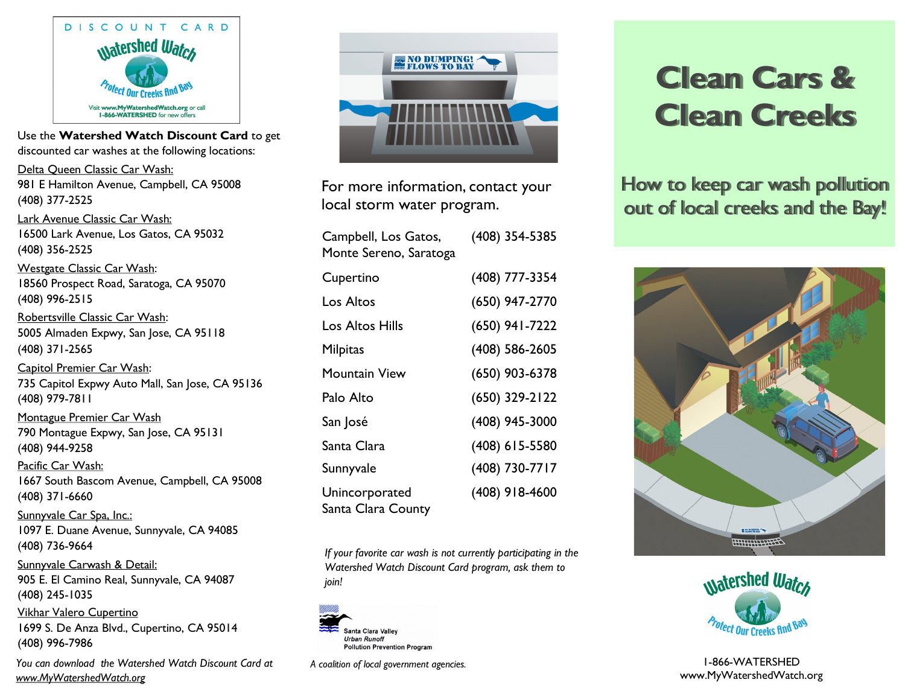

Use the **Watershed Watch Discount Card** to get discounted car washes at the following locations:

Delta Queen Classic Car Wash: 981 E Hamilton Avenue, Campbell, CA 95008 (408) 377-2525

Lark Avenue Classic Car Wash: 16500 Lark Avenue, Los Gatos, CA 95032 (408) 356-2525

Westgate Classic Car Wash: 18560 Prospect Road, Saratoga, CA 95070 (408) 996-2515

Robertsville Classic Car Wash: 5005 Almaden Expwy, San Jose, CA 95118 (408) 371-2565

Capitol Premier Car Wash: 735 Capitol Expwy Auto Mall, San Jose, CA 95136 (408) 979-7811

Montague Premier Car Wash 790 Montague Expwy, San Jose, CA 95131 (408) 944-9258 Pacific Car Wash:

1667 South Bascom Avenue, Campbell, CA 95008 (408) 371-6660

Sunnyvale Car Spa, Inc.: 1097 E. Duane Avenue, Sunnyvale, CA 94085 (408) 736-9664

Sunnyvale Carwash & Detail: 905 E. El Camino Real, Sunnyvale, CA 94087 (408) 245-1035

Vikhar Valero Cupertino 1699 S. De Anza Blvd., Cupertino, CA 95014 (408) 996-7986

*You can download the Watershed Watch Discount Card at www.MyWatershedWatch.org* 



For more information, contact your local storm water program.

| Campbell, Los Gatos,<br>Monte Sereno, Saratoga | (408) 354-5385   |
|------------------------------------------------|------------------|
| Cupertino                                      | (408) 777-3354   |
| Los Altos                                      | (650) 947-2770   |
| Los Altos Hills                                | (650) 941-7222   |
| Milpitas                                       | (408) 586-2605   |
| Mountain View                                  | (650) 903-6378   |
| Palo Alto                                      | (650) 329-2122   |
| San José                                       | (408) 945-3000   |
| Santa Clara                                    | $(408)$ 615-5580 |
| Sunnyvale                                      | (408) 730-7717   |
| Unincorporated<br>Santa Clara County           | (408) 918-4600   |

*If your favorite car wash is not currently participating in the Watershed Watch Discount Card program, ask them to join!*



*A coalition of local government agencies.*

## **Clean Cars & Clean Creeks**

How to keep car wash pollution out of local creeks and the Bay!





1-866-WATERSHED www.MyWatershedWatch.org